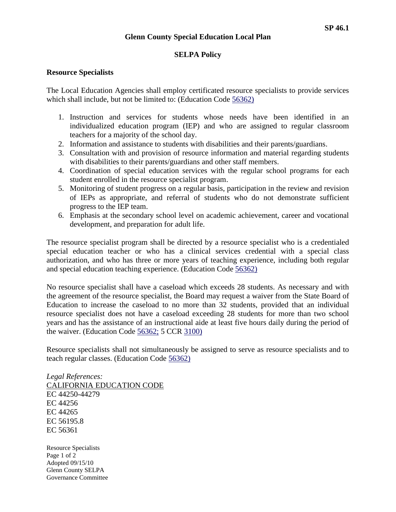## **SELPA Policy**

## **Resource Specialists**

The Local Education Agencies shall employ certificated resource specialists to provide services which shall include, but not be limited to: (Education Code [56362\)](http://www.gamutonline.net/4daction/web_loaddisplaypolicy/137542/4)

- 1. Instruction and services for students whose needs have been identified in an individualized education program (IEP) and who are assigned to regular classroom teachers for a majority of the school day.
- 2. Information and assistance to students with disabilities and their parents/guardians.
- 3. Consultation with and provision of resource information and material regarding students with disabilities to their parents/guardians and other staff members.
- 4. Coordination of special education services with the regular school programs for each student enrolled in the resource specialist program.
- 5. Monitoring of student progress on a regular basis, participation in the review and revision of IEPs as appropriate, and referral of students who do not demonstrate sufficient progress to the IEP team.
- 6. Emphasis at the secondary school level on academic achievement, career and vocational development, and preparation for adult life.

The resource specialist program shall be directed by a resource specialist who is a credentialed special education teacher or who has a clinical services credential with a special class authorization, and who has three or more years of teaching experience, including both regular and special education teaching experience. (Education Code [56362\)](http://www.gamutonline.net/4daction/web_loaddisplaypolicy/137542/4)

No resource specialist shall have a caseload which exceeds 28 students. As necessary and with the agreement of the resource specialist, the Board may request a waiver from the State Board of Education to increase the caseload to no more than 32 students, provided that an individual resource specialist does not have a caseload exceeding 28 students for more than two school years and has the assistance of an instructional aide at least five hours daily during the period of the waiver. (Education Code [56362;](http://www.gamutonline.net/4daction/web_loaddisplaypolicy/137542/4) 5 CCR [3100\)](http://www.gamutonline.net/4daction/web_loaddisplaypolicy/210942/4)

Resource specialists shall not simultaneously be assigned to serve as resource specialists and to teach regular classes. (Education Code [56362\)](http://www.gamutonline.net/4daction/web_loaddisplaypolicy/137542/4)

*Legal References:* CALIFORNIA EDUCATION CODE EC [44250-44279](http://www.gamutonline.net/4daction/web_loaddisplaypolicy/130586/4)  EC [44256](http://www.gamutonline.net/4daction/web_loaddisplaypolicy/130603/4)  EC [44265](http://www.gamutonline.net/4daction/web_loaddisplaypolicy/130626/4)  EC [56195.8](http://www.gamutonline.net/4daction/web_loaddisplaypolicy/137536/4)  EC [56361](http://www.gamutonline.net/4daction/web_loaddisplaypolicy/138037/4) 

Resource Specialists Page 1 of 2 Adopted 09/15/10 Glenn County SELPA Governance Committee